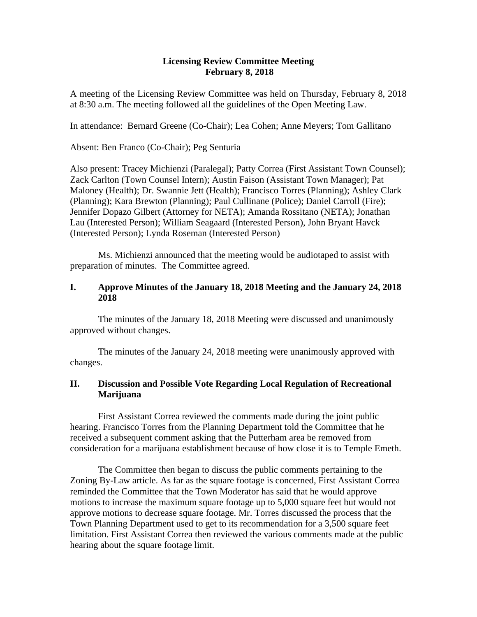#### **Licensing Review Committee Meeting February 8, 2018**

A meeting of the Licensing Review Committee was held on Thursday, February 8, 2018 at 8:30 a.m. The meeting followed all the guidelines of the Open Meeting Law.

In attendance: Bernard Greene (Co-Chair); Lea Cohen; Anne Meyers; Tom Gallitano

Absent: Ben Franco (Co-Chair); Peg Senturia

Also present: Tracey Michienzi (Paralegal); Patty Correa (First Assistant Town Counsel); Zack Carlton (Town Counsel Intern); Austin Faison (Assistant Town Manager); Pat Maloney (Health); Dr. Swannie Jett (Health); Francisco Torres (Planning); Ashley Clark (Planning); Kara Brewton (Planning); Paul Cullinane (Police); Daniel Carroll (Fire); Jennifer Dopazo Gilbert (Attorney for NETA); Amanda Rossitano (NETA); Jonathan Lau (Interested Person); William Seagaard (Interested Person), John Bryant Havck (Interested Person); Lynda Roseman (Interested Person)

Ms. Michienzi announced that the meeting would be audiotaped to assist with preparation of minutes. The Committee agreed.

### **I. Approve Minutes of the January 18, 2018 Meeting and the January 24, 2018 2018**

The minutes of the January 18, 2018 Meeting were discussed and unanimously approved without changes.

The minutes of the January 24, 2018 meeting were unanimously approved with changes.

# **II. Discussion and Possible Vote Regarding Local Regulation of Recreational Marijuana**

First Assistant Correa reviewed the comments made during the joint public hearing. Francisco Torres from the Planning Department told the Committee that he received a subsequent comment asking that the Putterham area be removed from consideration for a marijuana establishment because of how close it is to Temple Emeth.

The Committee then began to discuss the public comments pertaining to the Zoning By-Law article. As far as the square footage is concerned, First Assistant Correa reminded the Committee that the Town Moderator has said that he would approve motions to increase the maximum square footage up to 5,000 square feet but would not approve motions to decrease square footage. Mr. Torres discussed the process that the Town Planning Department used to get to its recommendation for a 3,500 square feet limitation. First Assistant Correa then reviewed the various comments made at the public hearing about the square footage limit.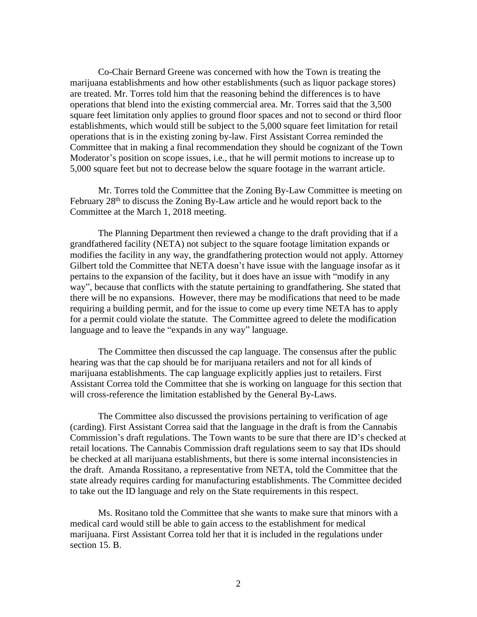Co-Chair Bernard Greene was concerned with how the Town is treating the marijuana establishments and how other establishments (such as liquor package stores) are treated. Mr. Torres told him that the reasoning behind the differences is to have operations that blend into the existing commercial area. Mr. Torres said that the 3,500 square feet limitation only applies to ground floor spaces and not to second or third floor establishments, which would still be subject to the 5,000 square feet limitation for retail operations that is in the existing zoning by-law. First Assistant Correa reminded the Committee that in making a final recommendation they should be cognizant of the Town Moderator's position on scope issues, i.e., that he will permit motions to increase up to 5,000 square feet but not to decrease below the square footage in the warrant article.

Mr. Torres told the Committee that the Zoning By-Law Committee is meeting on February  $28<sup>th</sup>$  to discuss the Zoning By-Law article and he would report back to the Committee at the March 1, 2018 meeting.

The Planning Department then reviewed a change to the draft providing that if a grandfathered facility (NETA) not subject to the square footage limitation expands or modifies the facility in any way, the grandfathering protection would not apply. Attorney Gilbert told the Committee that NETA doesn't have issue with the language insofar as it pertains to the expansion of the facility, but it does have an issue with "modify in any way", because that conflicts with the statute pertaining to grandfathering. She stated that there will be no expansions. However, there may be modifications that need to be made requiring a building permit, and for the issue to come up every time NETA has to apply for a permit could violate the statute. The Committee agreed to delete the modification language and to leave the "expands in any way" language.

The Committee then discussed the cap language. The consensus after the public hearing was that the cap should be for marijuana retailers and not for all kinds of marijuana establishments. The cap language explicitly applies just to retailers. First Assistant Correa told the Committee that she is working on language for this section that will cross-reference the limitation established by the General By-Laws.

The Committee also discussed the provisions pertaining to verification of age (carding). First Assistant Correa said that the language in the draft is from the Cannabis Commission's draft regulations. The Town wants to be sure that there are ID's checked at retail locations. The Cannabis Commission draft regulations seem to say that IDs should be checked at all marijuana establishments, but there is some internal inconsistencies in the draft. Amanda Rossitano, a representative from NETA, told the Committee that the state already requires carding for manufacturing establishments. The Committee decided to take out the ID language and rely on the State requirements in this respect.

Ms. Rositano told the Committee that she wants to make sure that minors with a medical card would still be able to gain access to the establishment for medical marijuana. First Assistant Correa told her that it is included in the regulations under section 15. B.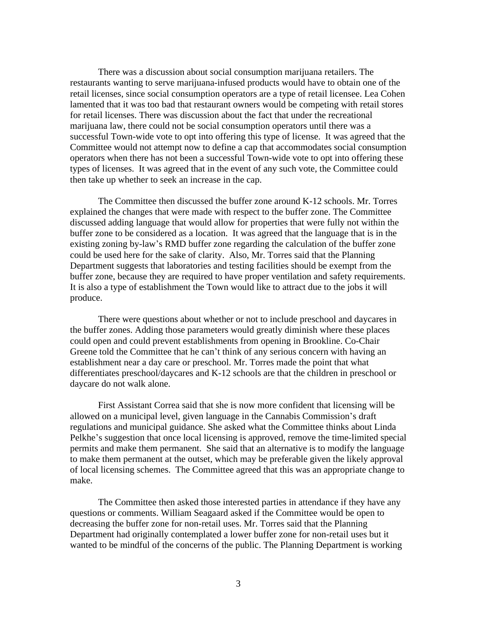There was a discussion about social consumption marijuana retailers. The restaurants wanting to serve marijuana-infused products would have to obtain one of the retail licenses, since social consumption operators are a type of retail licensee. Lea Cohen lamented that it was too bad that restaurant owners would be competing with retail stores for retail licenses. There was discussion about the fact that under the recreational marijuana law, there could not be social consumption operators until there was a successful Town-wide vote to opt into offering this type of license. It was agreed that the Committee would not attempt now to define a cap that accommodates social consumption operators when there has not been a successful Town-wide vote to opt into offering these types of licenses. It was agreed that in the event of any such vote, the Committee could then take up whether to seek an increase in the cap.

The Committee then discussed the buffer zone around K-12 schools. Mr. Torres explained the changes that were made with respect to the buffer zone. The Committee discussed adding language that would allow for properties that were fully not within the buffer zone to be considered as a location. It was agreed that the language that is in the existing zoning by-law's RMD buffer zone regarding the calculation of the buffer zone could be used here for the sake of clarity. Also, Mr. Torres said that the Planning Department suggests that laboratories and testing facilities should be exempt from the buffer zone, because they are required to have proper ventilation and safety requirements. It is also a type of establishment the Town would like to attract due to the jobs it will produce.

There were questions about whether or not to include preschool and daycares in the buffer zones. Adding those parameters would greatly diminish where these places could open and could prevent establishments from opening in Brookline. Co-Chair Greene told the Committee that he can't think of any serious concern with having an establishment near a day care or preschool. Mr. Torres made the point that what differentiates preschool/daycares and K-12 schools are that the children in preschool or daycare do not walk alone.

First Assistant Correa said that she is now more confident that licensing will be allowed on a municipal level, given language in the Cannabis Commission's draft regulations and municipal guidance. She asked what the Committee thinks about Linda Pelkhe's suggestion that once local licensing is approved, remove the time-limited special permits and make them permanent. She said that an alternative is to modify the language to make them permanent at the outset, which may be preferable given the likely approval of local licensing schemes. The Committee agreed that this was an appropriate change to make.

The Committee then asked those interested parties in attendance if they have any questions or comments. William Seagaard asked if the Committee would be open to decreasing the buffer zone for non-retail uses. Mr. Torres said that the Planning Department had originally contemplated a lower buffer zone for non-retail uses but it wanted to be mindful of the concerns of the public. The Planning Department is working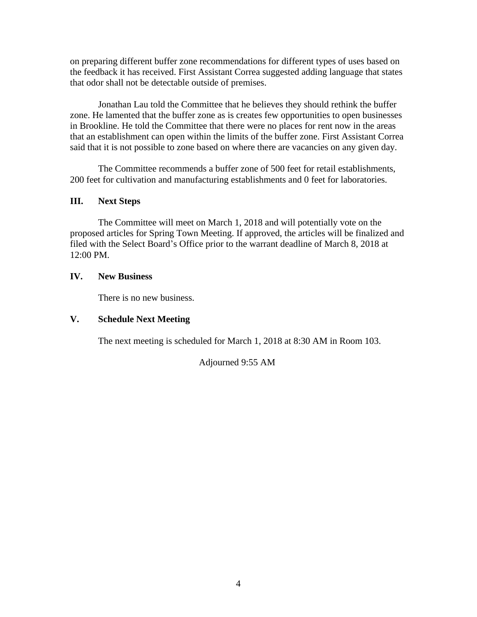on preparing different buffer zone recommendations for different types of uses based on the feedback it has received. First Assistant Correa suggested adding language that states that odor shall not be detectable outside of premises.

Jonathan Lau told the Committee that he believes they should rethink the buffer zone. He lamented that the buffer zone as is creates few opportunities to open businesses in Brookline. He told the Committee that there were no places for rent now in the areas that an establishment can open within the limits of the buffer zone. First Assistant Correa said that it is not possible to zone based on where there are vacancies on any given day.

The Committee recommends a buffer zone of 500 feet for retail establishments, 200 feet for cultivation and manufacturing establishments and 0 feet for laboratories.

# **III. Next Steps**

The Committee will meet on March 1, 2018 and will potentially vote on the proposed articles for Spring Town Meeting. If approved, the articles will be finalized and filed with the Select Board's Office prior to the warrant deadline of March 8, 2018 at 12:00 PM.

#### **IV. New Business**

There is no new business.

# **V. Schedule Next Meeting**

The next meeting is scheduled for March 1, 2018 at 8:30 AM in Room 103.

Adjourned 9:55 AM